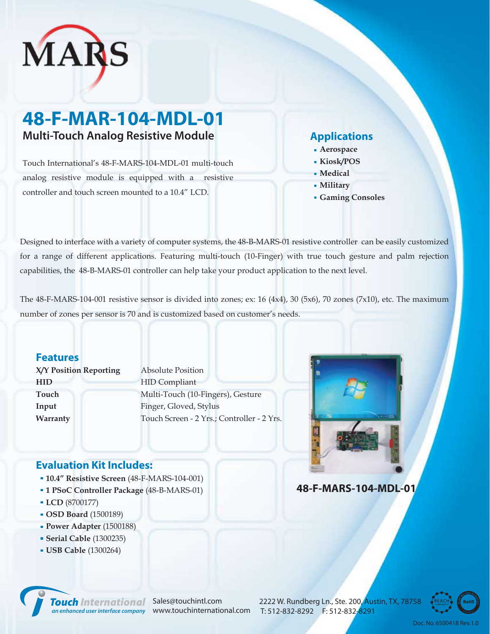

# **48-F-MAR-104-MDL-01 Multi-Touch Analog Resistive Module Applications**

Touch International's 48-F-MARS-104-MDL-01 multi-touch analog resistive module is equipped with a resistive controller and touch screen mounted to a 10.4" LCD.

- **Aerospace**
- **Kiosk/POS**
- **Medical**
- **Military**
- **Gaming Consoles**

Designed to interface with a variety of computer systems, the 48-B-MARS-01 resistive controller can be easily customized for a range of different applications. Featuring multi-touch (10-Finger) with true touch gesture and palm rejection capabilities, the 48-B-MARS-01 controller can help take your product application to the next level.

The 48-F-MARS-104-001 resistive sensor is divided into zones; ex: 16 (4x4), 30 (5x6), 70 zones (7x10), etc. The maximum number of zones per sensor is 70 and is customized based on customer's needs.

## **Features**

**X/Y Position Reporting HID Touch Input Warranty**

Absolute Position HID Compliant Multi-Touch (10-Fingers), Gesture Finger, Gloved, Stylus Touch Screen - 2 Yrs.; Controller - 2 Yrs.



# **Evaluation Kit Includes:**

- **10.4" Resistive Screen** (48-F-MARS-104-001)
- **1 PSoC Controller Package** (48-B-MARS-01)
- **LCD** (8700177)
- **OSD Board** (1500189)
- **Power Adapter** (1500188)
- **Serial Cable** (1300235)
- **USB Cable** (1300264)

**48-F-MARS-104-MDL-01**



*Touch International Sales@touchintl.com* 

2222 W. Rundberg Ln., Ste. 200, Austin, TX, 78758 an enhanced user interface company www.touchinternational.com T: 512-832-8292 F: 512-832-<mark>8291</mark>